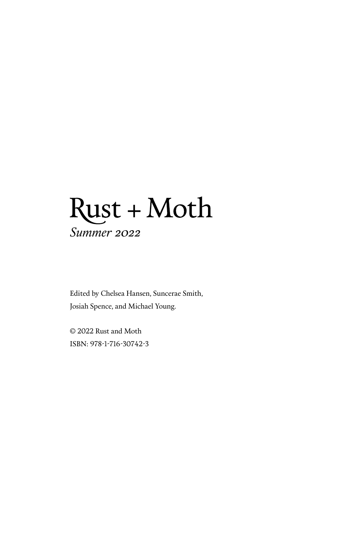# Rust + Moth *Summer 2022*

Edited by Chelsea Hansen, Suncerae Smith, Josiah Spence, and Michael Young.

© 2022 Rust and Moth ISBN: 978-1-716-30742-3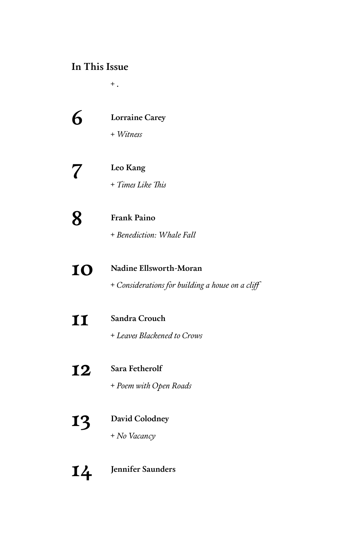## **In This Issue**

+ **.**

|                            | <b>Lorraine Carey</b><br>+ Witness                                         |
|----------------------------|----------------------------------------------------------------------------|
| $\boldsymbol{\mathcal{U}}$ | Leo Kang<br>+ Times Like This                                              |
| $\mathbf 8$                | <b>Frank Paino</b><br>+ Benediction: Whale Fall                            |
| 10                         | Nadine Ellsworth-Moran<br>+ Considerations for building a house on a cliff |
| 11                         | Sandra Crouch<br>+ Leaves Blackened to Crows                               |
| 12                         | Sara Fetherolf<br>+ Poem with Open Roads                                   |
| L3                         | David Colodney<br>+ No Vacancy                                             |
| L4                         | Jennifer Saunders                                                          |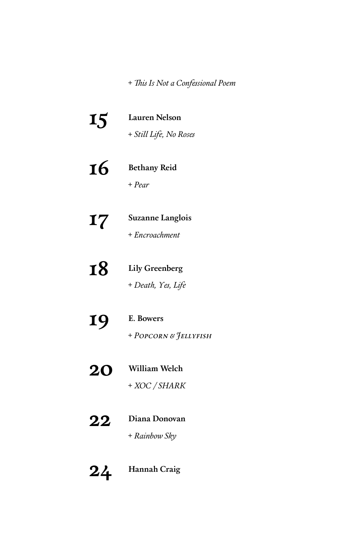+ *This Is Not a Confessional Poem*

|    | <b>Lauren Nelson</b><br>+ Still Life, No Roses |
|----|------------------------------------------------|
| 16 | <b>Bethany Reid</b><br>$+$ Pear                |
| 17 | Suzanne Langlois<br>+ Encroachment             |
| 18 | <b>Lily Greenberg</b><br>+ Death, Yes, Life    |
| 19 | E. Bowers<br>+ POPCORN & JELLYFISH             |
| 20 | <b>William Welch</b><br>+ XOC / SHARK          |
| 22 | Diana Donovan<br>+ Rainbow Sky                 |

**24 Hannah Craig**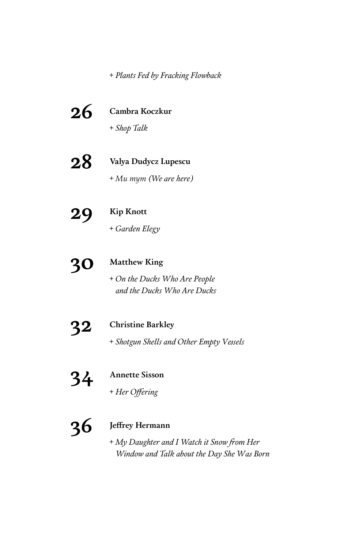+ *Plants Fed by Fracking Flowback*

| 26 | Cambra Koczkur                                                                           |
|----|------------------------------------------------------------------------------------------|
|    | + Shop Talk                                                                              |
| 28 | Valya Dudycz Lupescu                                                                     |
|    | + Mu mym (We are here)                                                                   |
| 29 | <b>Kip Knott</b>                                                                         |
|    | + Garden Elegy                                                                           |
|    | <b>Matthew King</b>                                                                      |
|    | + On the Ducks Who Are People<br>and the Ducks Who Are Ducks                             |
|    | <b>Christine Barkley</b>                                                                 |
|    | + Shotgun Shells and Other Empty Vessels                                                 |
| 34 | <b>Annette Sisson</b>                                                                    |
|    | + Her Offering                                                                           |
|    | Jeffrey Hermann                                                                          |
|    | + My Daughter and I Watch it Snow from Her<br>Window and Talk about the Day She Was Born |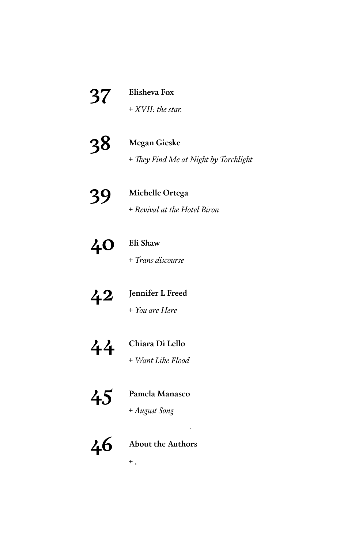**37 Elisheva Fox**

+ *XVII: the star.*

**38 Megan Gieske**

+ *They Find Me at Night by Torchlight*

## **39 Michelle Ortega**

+ *Revival at the Hotel Biron*

**40 Eli Shaw**

+ *Trans discourse*

# **42 Jennifer L Freed**

+ *You are Here*

**44 Chiara Di Lello**

+ *Want Like Flood*

# **45 Pamela Manasco**

+ *August Song*

# **46 About the Authors**

.

+ **.**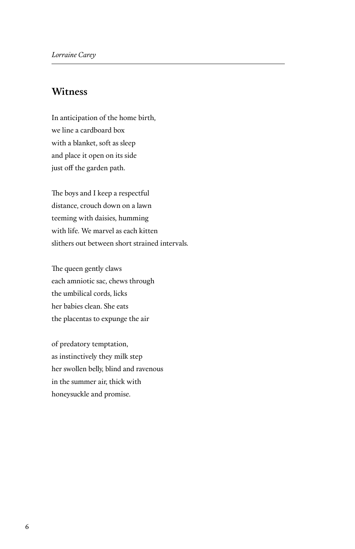#### **Witness**

In anticipation of the home birth, we line a cardboard box with a blanket, soft as sleep and place it open on its side just off the garden path.

The boys and I keep a respectful distance, crouch down on a lawn teeming with daisies, humming with life. We marvel as each kitten slithers out between short strained intervals.

The queen gently claws each amniotic sac, chews through the umbilical cords, licks her babies clean. She eats the placentas to expunge the air

of predatory temptation, as instinctively they milk step her swollen belly, blind and ravenous in the summer air, thick with honeysuckle and promise.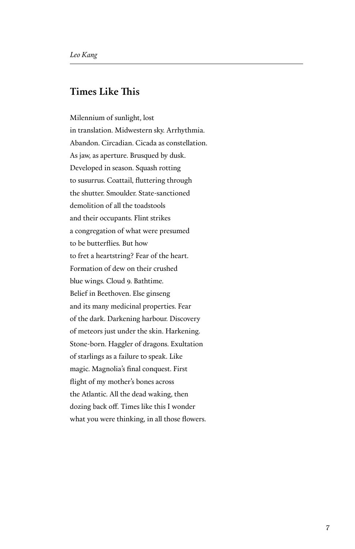#### **Times Like This**

Milennium of sunlight, lost in translation. Midwestern sky. Arrhythmia. Abandon. Circadian. Cicada as constellation. As jaw, as aperture. Brusqued by dusk. Developed in season. Squash rotting to susurrus. Coattail, fluttering through the shutter. Smoulder. State-sanctioned demolition of all the toadstools and their occupants. Flint strikes a congregation of what were presumed to be butterflies. But how to fret a heartstring? Fear of the heart. Formation of dew on their crushed blue wings. Cloud 9. Bathtime. Belief in Beethoven. Else ginseng and its many medicinal properties. Fear of the dark. Darkening harbour. Discovery of meteors just under the skin. Harkening. Stone-born. Haggler of dragons. Exultation of starlings as a failure to speak. Like magic. Magnolia's final conquest. First flight of my mother's bones across the Atlantic. All the dead waking, then dozing back off. Times like this I wonder what you were thinking, in all those flowers.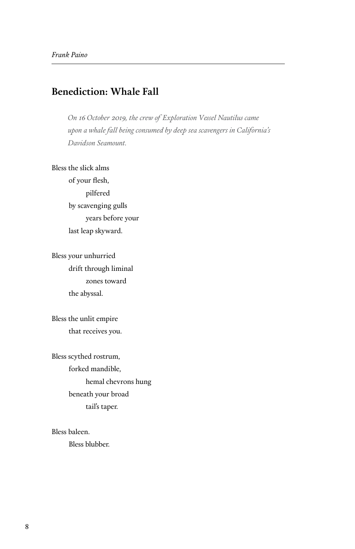#### **Benediction: Whale Fall**

*On 16 October 2019, the crew of Exploration Vessel Nautilus came upon a whale fall being consumed by deep sea scavengers in California's Davidson Seamount.*

#### Bless the slick alms

 of your flesh, pilfered by scavenging gulls years before your last leap skyward.

Bless your unhurried drift through liminal zones toward the abyssal.

Bless the unlit empire that receives you.

Bless scythed rostrum, forked mandible, hemal chevrons hung beneath your broad tail's taper.

Bless baleen. Bless blubber.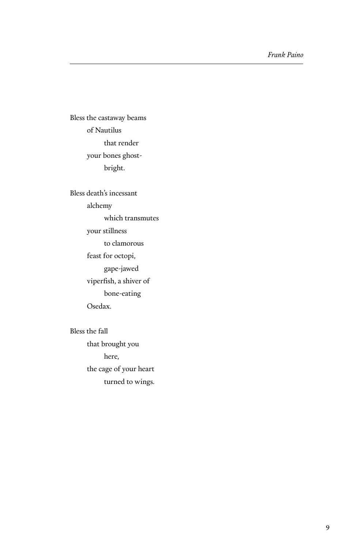Bless the castaway beams of Nautilus that render your bones ghost bright.

Bless death's incessant alchemy which transmutes your stillness to clamorous feast for octopi, gape-jawed viperfish, a shiver of bone-eating Osedax.

Bless the fall that brought you here, the cage of your heart turned to wings.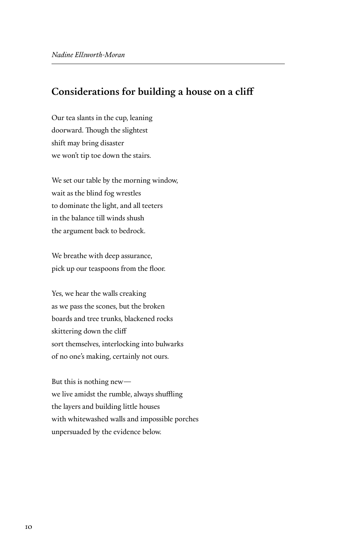#### **Considerations for building a house on a cliff**

Our tea slants in the cup, leaning doorward. Though the slightest shift may bring disaster we won't tip toe down the stairs.

We set our table by the morning window, wait as the blind fog wrestles to dominate the light, and all teeters in the balance till winds shush the argument back to bedrock.

We breathe with deep assurance, pick up our teaspoons from the floor.

Yes, we hear the walls creaking as we pass the scones, but the broken boards and tree trunks, blackened rocks skittering down the cliff sort themselves, interlocking into bulwarks of no one's making, certainly not ours.

But this is nothing new we live amidst the rumble, always shuffling the layers and building little houses with whitewashed walls and impossible porches unpersuaded by the evidence below.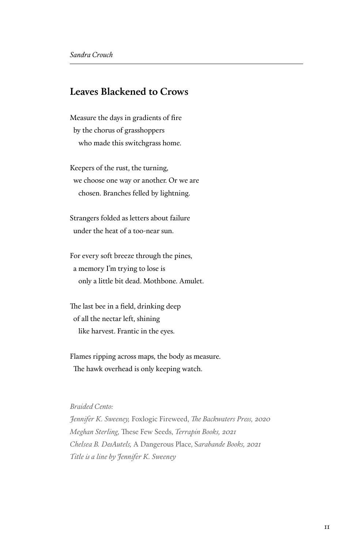#### **Leaves Blackened to Crows**

Measure the days in gradients of fire by the chorus of grasshoppers who made this switchgrass home.

Keepers of the rust, the turning, we choose one way or another. Or we are chosen. Branches felled by lightning.

Strangers folded as letters about failure under the heat of a too-near sun.

For every soft breeze through the pines, a memory I'm trying to lose is only a little bit dead. Mothbone. Amulet.

The last bee in a field, drinking deep of all the nectar left, shining like harvest. Frantic in the eyes.

Flames ripping across maps, the body as measure. The hawk overhead is only keeping watch.

#### *Braided Cento:*

*Jennifer K. Sweeney,* Foxlogic Fireweed, *The Backwaters Press, 2020 Meghan Sterling,* These Few Seeds, *Terrapin Books, 2021 Chelsea B. DesAutels,* A Dangerous Place, S*arabande Books, 2021 Title is a line by Jennifer K. Sweeney*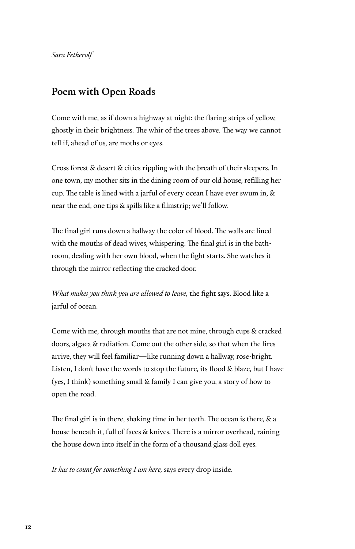#### **Poem with Open Roads**

Come with me, as if down a highway at night: the flaring strips of yellow, ghostly in their brightness. The whir of the trees above. The way we cannot tell if, ahead of us, are moths or eyes.

Cross forest & desert & cities rippling with the breath of their sleepers. In one town, my mother sits in the dining room of our old house, refilling her cup. The table is lined with a jarful of every ocean I have ever swum in, & near the end, one tips & spills like a filmstrip; we'll follow.

The final girl runs down a hallway the color of blood. The walls are lined with the mouths of dead wives, whispering. The final girl is in the bathroom, dealing with her own blood, when the fight starts. She watches it through the mirror reflecting the cracked door.

*What makes you think you are allowed to leave,* the fight says. Blood like a jarful of ocean.

Come with me, through mouths that are not mine, through cups & cracked doors, algaea & radiation. Come out the other side, so that when the fires arrive, they will feel familiar—like running down a hallway, rose-bright. Listen, I don't have the words to stop the future, its flood & blaze, but I have (yes, I think) something small & family I can give you, a story of how to open the road.

The final girl is in there, shaking time in her teeth. The ocean is there, & a house beneath it, full of faces & knives. There is a mirror overhead, raining the house down into itself in the form of a thousand glass doll eyes.

*It has to count for something I am here,* says every drop inside.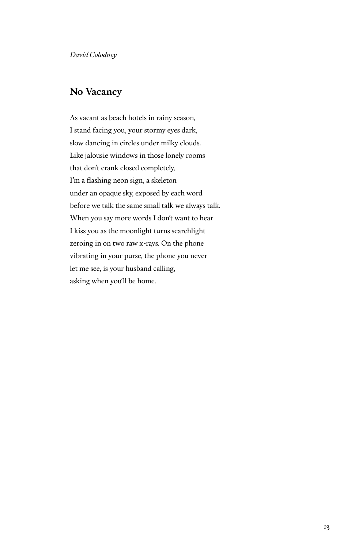#### **No Vacancy**

As vacant as beach hotels in rainy season, I stand facing you, your stormy eyes dark, slow dancing in circles under milky clouds. Like jalousie windows in those lonely rooms that don't crank closed completely, I'm a flashing neon sign, a skeleton under an opaque sky, exposed by each word before we talk the same small talk we always talk. When you say more words I don't want to hear I kiss you as the moonlight turns searchlight zeroing in on two raw x-rays. On the phone vibrating in your purse, the phone you never let me see, is your husband calling, asking when you'll be home.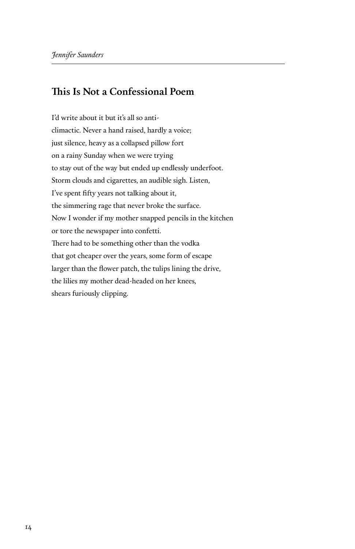#### **This Is Not a Confessional Poem**

I'd write about it but it's all so anticlimactic. Never a hand raised, hardly a voice; just silence, heavy as a collapsed pillow fort on a rainy Sunday when we were trying to stay out of the way but ended up endlessly underfoot. Storm clouds and cigarettes, an audible sigh. Listen, I've spent fifty years not talking about it, the simmering rage that never broke the surface. Now I wonder if my mother snapped pencils in the kitchen or tore the newspaper into confetti. There had to be something other than the vodka that got cheaper over the years, some form of escape larger than the flower patch, the tulips lining the drive, the lilies my mother dead-headed on her knees, shears furiously clipping.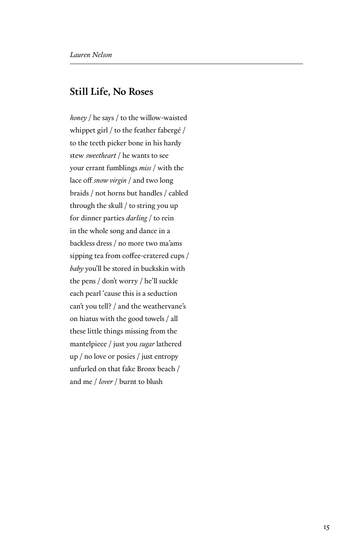#### **Still Life, No Roses**

*honey* / he says / to the willow-waisted whippet girl / to the feather fabergé / to the teeth picker bone in his hardy stew *sweetheart* / he wants to see your errant fumblings *miss* / with the lace off *snow virgin* / and two long braids / not horns but handles / cabled through the skull / to string you up for dinner parties *darling* / to rein in the whole song and dance in a backless dress / no more two ma'ams sipping tea from coffee-cratered cups / *baby* you'll be stored in buckskin with the pens / don't worry / he'll suckle each pearl 'cause this is a seduction can't you tell? / and the weathervane's on hiatus with the good towels / all these little things missing from the mantelpiece / just you *sugar* lathered up / no love or posies / just entropy unfurled on that fake Bronx beach / and me / *lover* / burnt to blush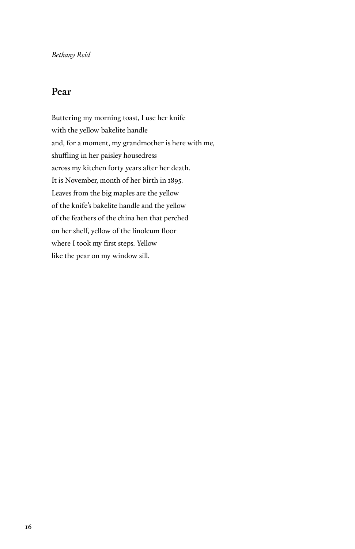#### **Pear**

Buttering my morning toast, I use her knife with the yellow bakelite handle and, for a moment, my grandmother is here with me, shuffling in her paisley housedress across my kitchen forty years after her death. It is November, month of her birth in 1895. Leaves from the big maples are the yellow of the knife's bakelite handle and the yellow of the feathers of the china hen that perched on her shelf, yellow of the linoleum floor where I took my first steps. Yellow like the pear on my window sill.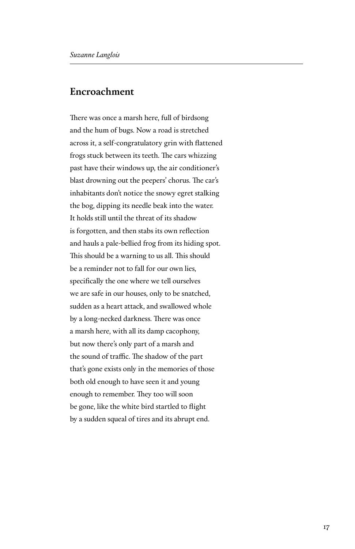#### **Encroachment**

There was once a marsh here, full of birdsong and the hum of bugs. Now a road is stretched across it, a self-congratulatory grin with flattened frogs stuck between its teeth. The cars whizzing past have their windows up, the air conditioner's blast drowning out the peepers' chorus. The car's inhabitants don't notice the snowy egret stalking the bog, dipping its needle beak into the water. It holds still until the threat of its shadow is forgotten, and then stabs its own reflection and hauls a pale-bellied frog from its hiding spot. This should be a warning to us all. This should be a reminder not to fall for our own lies, specifically the one where we tell ourselves we are safe in our houses, only to be snatched, sudden as a heart attack, and swallowed whole by a long-necked darkness. There was once a marsh here, with all its damp cacophony, but now there's only part of a marsh and the sound of traffic. The shadow of the part that's gone exists only in the memories of those both old enough to have seen it and young enough to remember. They too will soon be gone, like the white bird startled to flight by a sudden squeal of tires and its abrupt end.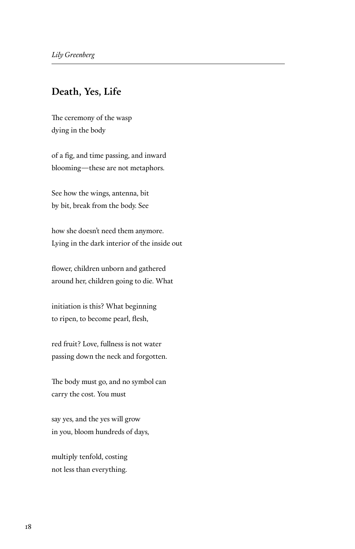#### **Death, Yes, Life**

The ceremony of the wasp dying in the body

of a fig, and time passing, and inward blooming—these are not metaphors.

See how the wings, antenna, bit by bit, break from the body. See

how she doesn't need them anymore. Lying in the dark interior of the inside out

flower, children unborn and gathered around her, children going to die. What

initiation is this? What beginning to ripen, to become pearl, flesh,

red fruit? Love, fullness is not water passing down the neck and forgotten.

The body must go, and no symbol can carry the cost. You must

say yes, and the yes will grow in you, bloom hundreds of days,

multiply tenfold, costing not less than everything.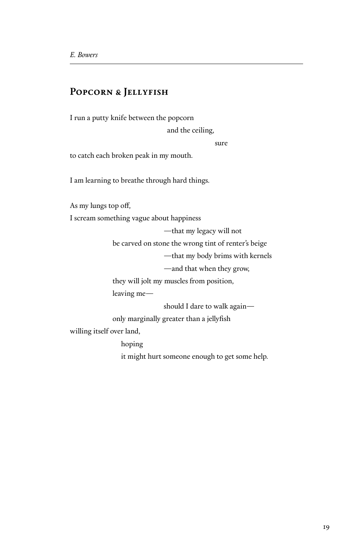#### **Popcorn & Jellyfish**

I run a putty knife between the popcorn

and the ceiling,

sure sure

to catch each broken peak in my mouth.

I am learning to breathe through hard things.

As my lungs top off,

I scream something vague about happiness

—that my legacy will not

be carved on stone the wrong tint of renter's beige

—that my body brims with kernels

—and that when they grow,

they will jolt my muscles from position,

leaving me—

should I dare to walk again—

only marginally greater than a jellyfish

willing itself over land,

 hoping it might hurt someone enough to get some help.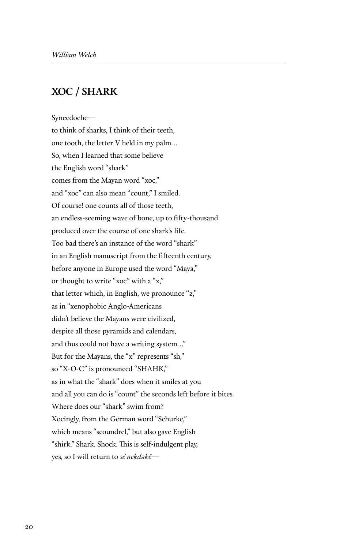#### **XOC / SHARK**

Synecdoche—

to think of sharks, I think of their teeth, one tooth, the letter V held in my palm… So, when I learned that some believe the English word "shark" comes from the Mayan word "xoc," and "xoc" can also mean "count," I smiled. Of course! one counts all of those teeth, an endless-seeming wave of bone, up to fifty-thousand produced over the course of one shark's life. Too bad there's an instance of the word "shark" in an English manuscript from the fifteenth century, before anyone in Europe used the word "Maya," or thought to write "xoc" with a "x," that letter which, in English, we pronounce "z," as in "xenophobic Anglo-Americans didn't believe the Mayans were civilized, despite all those pyramids and calendars, and thus could not have a writing system…" But for the Mayans, the "x" represents "sh," so "X-O-C" is pronounced "SHAHK," as in what the "shark" does when it smiles at you and all you can do is "count" the seconds left before it bites. Where does our "shark" swim from? Xocingly, from the German word "Schurke," which means "scoundrel," but also gave English "shirk." Shark. Shock. This is self-indulgent play, yes, so I will return to *sé nekdəkē—*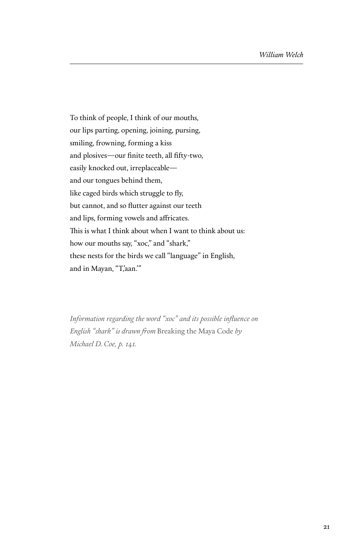To think of people, I think of our mouths, our lips parting, opening, joining, pursing, smiling, frowning, forming a kiss and plosives—our finite teeth, all fifty-two, easily knocked out, irreplaceable and our tongues behind them, like caged birds which struggle to fly, but cannot, and so flutter against our teeth and lips, forming vowels and affricates. This is what I think about when I want to think about us: how our mouths say, "xoc," and "shark," these nests for the birds we call "language" in English, and in Mayan, "T,aan."

*Information regarding the word "xoc" and its possible influence on English "shark" is drawn from* Breaking the Maya Code *by Michael D. Coe, p. 141.*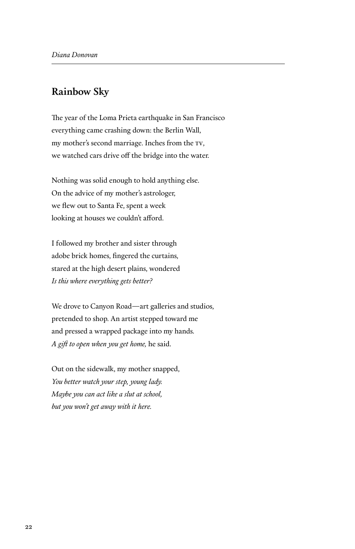#### **Rainbow Sky**

The year of the Loma Prieta earthquake in San Francisco everything came crashing down: the Berlin Wall, my mother's second marriage. Inches from the tv, we watched cars drive off the bridge into the water.

Nothing was solid enough to hold anything else. On the advice of my mother's astrologer, we flew out to Santa Fe, spent a week looking at houses we couldn't afford.

I followed my brother and sister through adobe brick homes, fingered the curtains, stared at the high desert plains, wondered *Is this where everything gets better?*

We drove to Canyon Road—art galleries and studios, pretended to shop. An artist stepped toward me and pressed a wrapped package into my hands. *A gift to open when you get home,* he said.

Out on the sidewalk, my mother snapped, *You better watch your step, young lady. Maybe you can act like a slut at school, but you won't get away with it here.*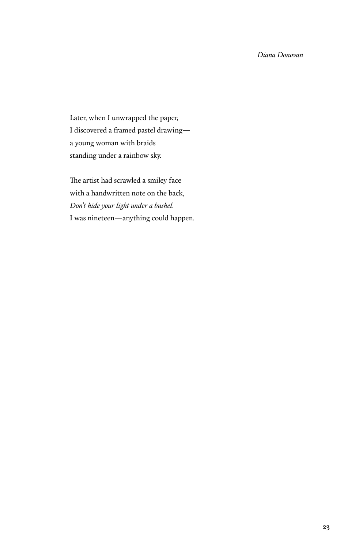Later, when I unwrapped the paper, I discovered a framed pastel drawing a young woman with braids standing under a rainbow sky.

The artist had scrawled a smiley face with a handwritten note on the back, *Don't hide your light under a bushel.* I was nineteen—anything could happen.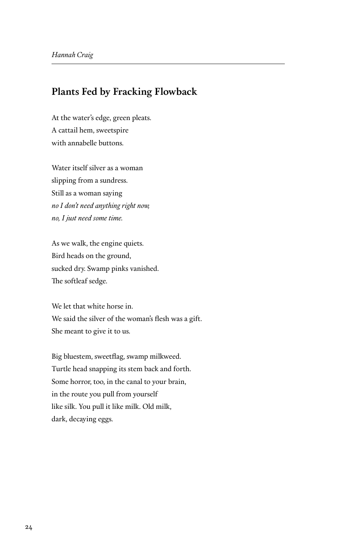#### **Plants Fed by Fracking Flowback**

At the water's edge, green pleats. A cattail hem, sweetspire with annabelle buttons.

Water itself silver as a woman slipping from a sundress. Still as a woman saying *no I don't need anything right now, no, I just need some time.*

As we walk, the engine quiets. Bird heads on the ground, sucked dry. Swamp pinks vanished. The softleaf sedge.

We let that white horse in. We said the silver of the woman's flesh was a gift. She meant to give it to us.

Big bluestem, sweetflag, swamp milkweed. Turtle head snapping its stem back and forth. Some horror, too, in the canal to your brain, in the route you pull from yourself like silk. You pull it like milk. Old milk, dark, decaying eggs.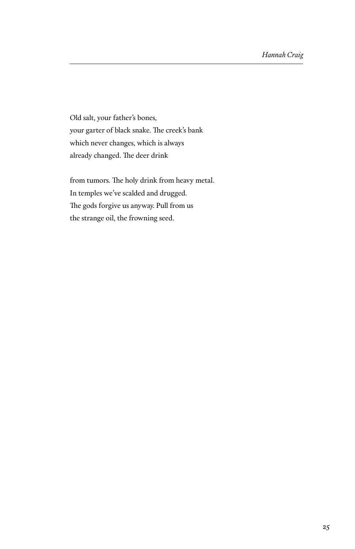Old salt, your father's bones, your garter of black snake. The creek's bank which never changes, which is always already changed. The deer drink

from tumors. The holy drink from heavy metal. In temples we've scalded and drugged. The gods forgive us anyway. Pull from us the strange oil, the frowning seed.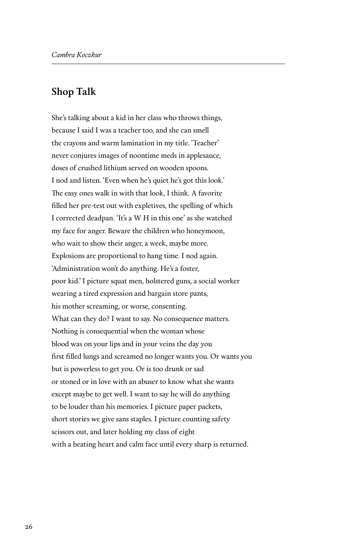#### **Shop Talk**

She's talking about a kid in her class who throws things, because I said I was a teacher too, and she can smell the crayons and warm lamination in my title. 'Teacher' never conjures images of noontime meds in applesauce, doses of crushed lithium served on wooden spoons. I nod and listen. 'Even when he's quiet he's got this look.' The easy ones walk in with that look, I think. A favorite filled her pre-test out with expletives, the spelling of which I corrected deadpan. 'It's a W H in this one' as she watched my face for anger. Beware the children who honeymoon, who wait to show their anger, a week, maybe more. Explosions are proportional to hang time. I nod again. 'Administration won't do anything. He's a foster, poor kid.' I picture squat men, holstered guns, a social worker wearing a tired expression and bargain store pants, his mother screaming, or worse, consenting. What can they do? I want to say. No consequence matters. Nothing is consequential when the woman whose blood was on your lips and in your veins the day you first filled lungs and screamed no longer wants you. Or wants you but is powerless to get you. Or is too drunk or sad or stoned or in love with an abuser to know what she wants except maybe to get well. I want to say he will do anything to be louder than his memories. I picture paper packets, short stories we give sans staples. I picture counting safety scissors out, and later holding my class of eight with a beating heart and calm face until every sharp is returned.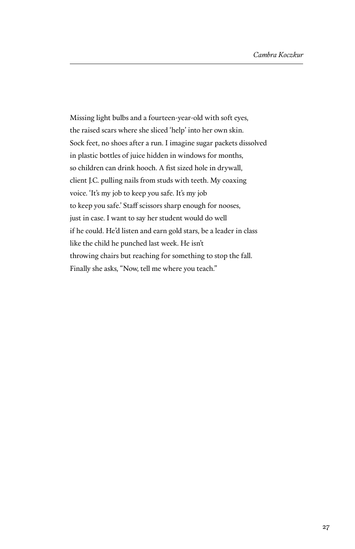Missing light bulbs and a fourteen-year-old with soft eyes, the raised scars where she sliced 'help' into her own skin. Sock feet, no shoes after a run. I imagine sugar packets dissolved in plastic bottles of juice hidden in windows for months, so children can drink hooch. A fist sized hole in drywall, client J.C. pulling nails from studs with teeth. My coaxing voice. 'It's my job to keep you safe. It's my job to keep you safe.' Staff scissors sharp enough for nooses, just in case. I want to say her student would do well if he could. He'd listen and earn gold stars, be a leader in class like the child he punched last week. He isn't throwing chairs but reaching for something to stop the fall. Finally she asks, "Now, tell me where you teach."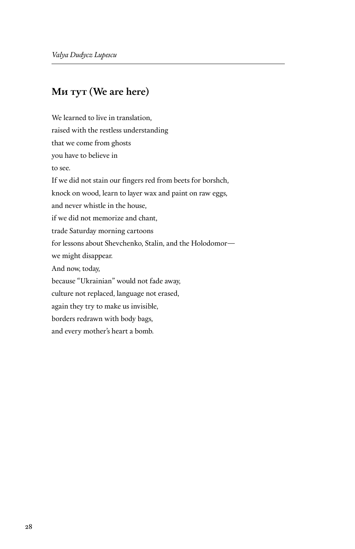#### **Ми тут (We are here)**

We learned to live in translation, raised with the restless understanding that we come from ghosts you have to believe in to see. If we did not stain our fingers red from beets for borshch, knock on wood, learn to layer wax and paint on raw eggs, and never whistle in the house, if we did not memorize and chant, trade Saturday morning cartoons for lessons about Shevchenko, Stalin, and the Holodomor we might disappear. And now, today, because "Ukrainian" would not fade away, culture not replaced, language not erased, again they try to make us invisible, borders redrawn with body bags, and every mother's heart a bomb.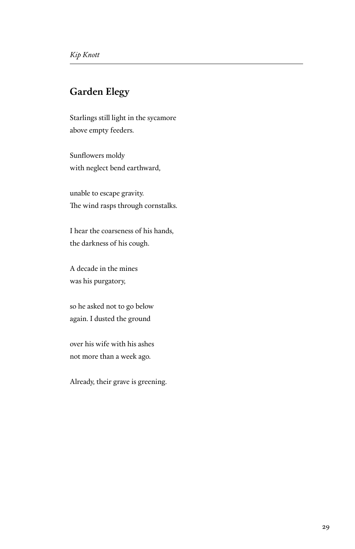#### **Garden Elegy**

Starlings still light in the sycamore above empty feeders.

Sunflowers moldy with neglect bend earthward,

unable to escape gravity. The wind rasps through cornstalks.

I hear the coarseness of his hands, the darkness of his cough.

A decade in the mines was his purgatory,

so he asked not to go below again. I dusted the ground

over his wife with his ashes not more than a week ago.

Already, their grave is greening.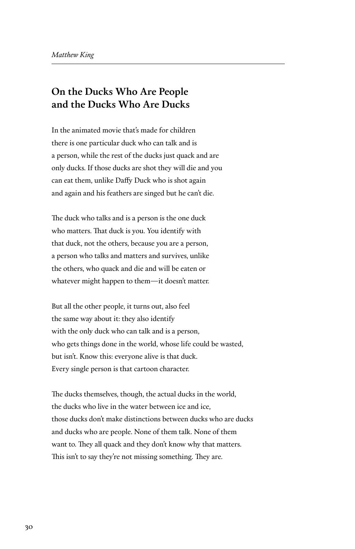#### **On the Ducks Who Are People and the Ducks Who Are Ducks**

In the animated movie that's made for children there is one particular duck who can talk and is a person, while the rest of the ducks just quack and are only ducks. If those ducks are shot they will die and you can eat them, unlike Daffy Duck who is shot again and again and his feathers are singed but he can't die.

The duck who talks and is a person is the one duck who matters. That duck is you. You identify with that duck, not the others, because you are a person, a person who talks and matters and survives, unlike the others, who quack and die and will be eaten or whatever might happen to them—it doesn't matter.

But all the other people, it turns out, also feel the same way about it: they also identify with the only duck who can talk and is a person, who gets things done in the world, whose life could be wasted, but isn't. Know this: everyone alive is that duck. Every single person is that cartoon character.

The ducks themselves, though, the actual ducks in the world, the ducks who live in the water between ice and ice, those ducks don't make distinctions between ducks who are ducks and ducks who are people. None of them talk. None of them want to. They all quack and they don't know why that matters. This isn't to say they're not missing something. They are.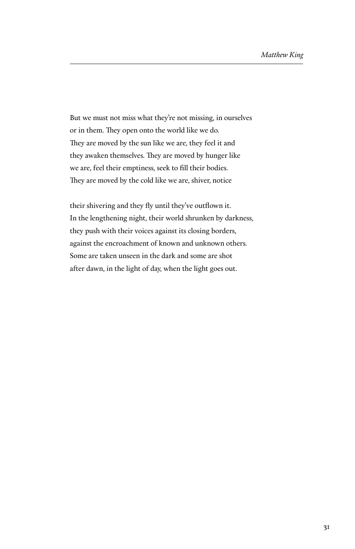But we must not miss what they're not missing, in ourselves or in them. They open onto the world like we do. They are moved by the sun like we are, they feel it and they awaken themselves. They are moved by hunger like we are, feel their emptiness, seek to fill their bodies. They are moved by the cold like we are, shiver, notice

their shivering and they fly until they've outflown it. In the lengthening night, their world shrunken by darkness, they push with their voices against its closing borders, against the encroachment of known and unknown others. Some are taken unseen in the dark and some are shot after dawn, in the light of day, when the light goes out.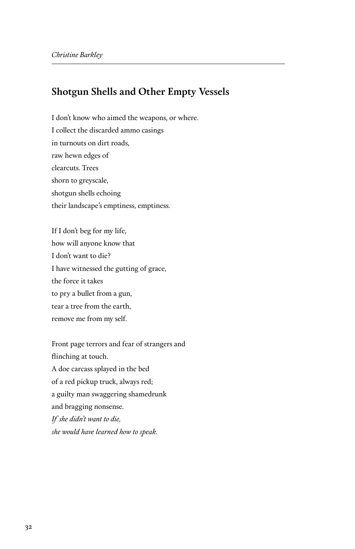#### **Shotgun Shells and Other Empty Vessels**

I don't know who aimed the weapons, or where. I collect the discarded ammo casings in turnouts on dirt roads, raw hewn edges of clearcuts. Trees shorn to greyscale, shotgun shells echoing their landscape's emptiness, emptiness.

If I don't beg for my life, how will anyone know that I don't want to die? I have witnessed the gutting of grace, the force it takes to pry a bullet from a gun, tear a tree from the earth, remove me from my self.

Front page terrors and fear of strangers and flinching at touch. A doe carcass splayed in the bed of a red pickup truck, always red; a guilty man swaggering shamedrunk and bragging nonsense. *If she didn't want to die, she would have learned how to speak.*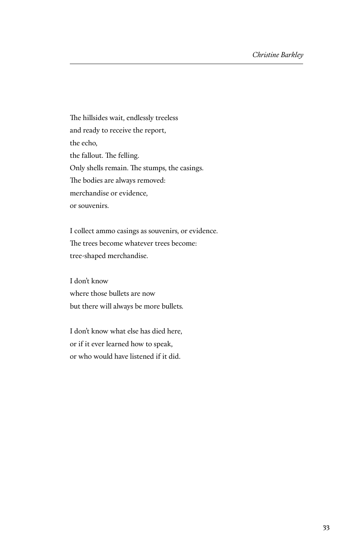The hillsides wait, endlessly treeless and ready to receive the report, the echo, the fallout. The felling. Only shells remain. The stumps, the casings. The bodies are always removed: merchandise or evidence, or souvenirs.

I collect ammo casings as souvenirs, or evidence. The trees become whatever trees become: tree-shaped merchandise.

I don't know where those bullets are now but there will always be more bullets.

I don't know what else has died here, or if it ever learned how to speak, or who would have listened if it did.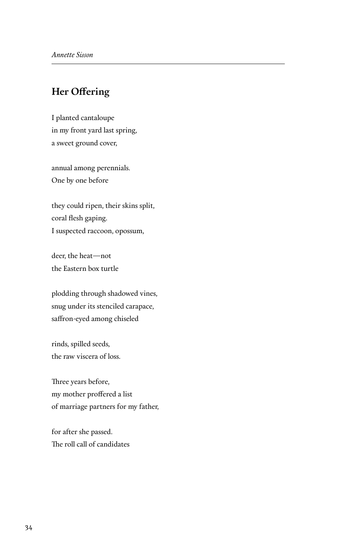#### **Her Offering**

I planted cantaloupe in my front yard last spring, a sweet ground cover,

annual among perennials. One by one before

they could ripen, their skins split, coral flesh gaping. I suspected raccoon, opossum,

deer, the heat—not the Eastern box turtle

plodding through shadowed vines, snug under its stenciled carapace, saffron-eyed among chiseled

rinds, spilled seeds, the raw viscera of loss.

Three years before, my mother proffered a list of marriage partners for my father,

for after she passed. The roll call of candidates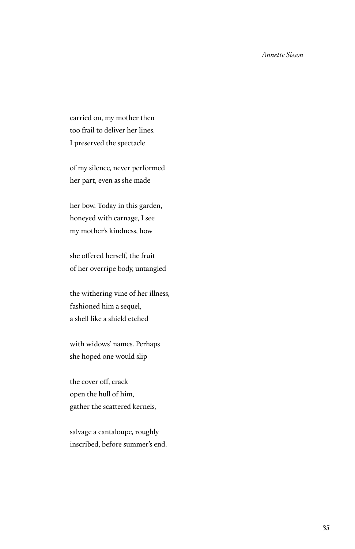carried on, my mother then too frail to deliver her lines. I preserved the spectacle

of my silence, never performed her part, even as she made

her bow. Today in this garden, honeyed with carnage, I see my mother's kindness, how

she offered herself, the fruit of her overripe body, untangled

the withering vine of her illness, fashioned him a sequel, a shell like a shield etched

with widows' names. Perhaps she hoped one would slip

the cover off, crack open the hull of him, gather the scattered kernels,

salvage a cantaloupe, roughly inscribed, before summer's end.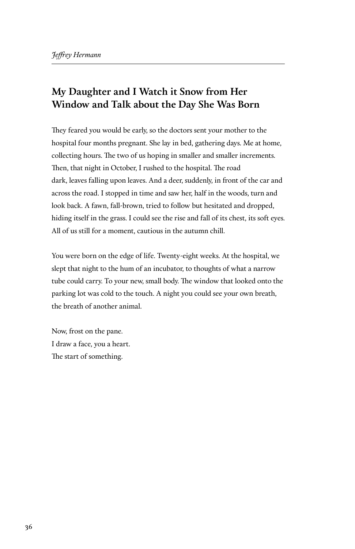## **My Daughter and I Watch it Snow from Her Window and Talk about the Day She Was Born**

They feared you would be early, so the doctors sent your mother to the hospital four months pregnant. She lay in bed, gathering days. Me at home, collecting hours. The two of us hoping in smaller and smaller increments. Then, that night in October, I rushed to the hospital. The road dark, leaves falling upon leaves. And a deer, suddenly, in front of the car and across the road. I stopped in time and saw her, half in the woods, turn and look back. A fawn, fall-brown, tried to follow but hesitated and dropped, hiding itself in the grass. I could see the rise and fall of its chest, its soft eyes. All of us still for a moment, cautious in the autumn chill.

You were born on the edge of life. Twenty-eight weeks. At the hospital, we slept that night to the hum of an incubator, to thoughts of what a narrow tube could carry. To your new, small body. The window that looked onto the parking lot was cold to the touch. A night you could see your own breath, the breath of another animal.

Now, frost on the pane. I draw a face, you a heart. The start of something.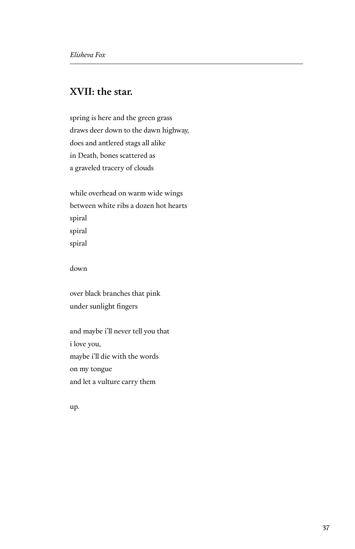#### **XVII: the star.**

spring is here and the green grass draws deer down to the dawn highway, does and antlered stags all alike in Death, bones scattered as a graveled tracery of clouds

while overhead on warm wide wings between white ribs a dozen hot hearts spiral spiral spiral

down

over black branches that pink under sunlight fingers

and maybe i'll never tell you that i love you, maybe i'll die with the words on my tongue and let a vulture carry them

up.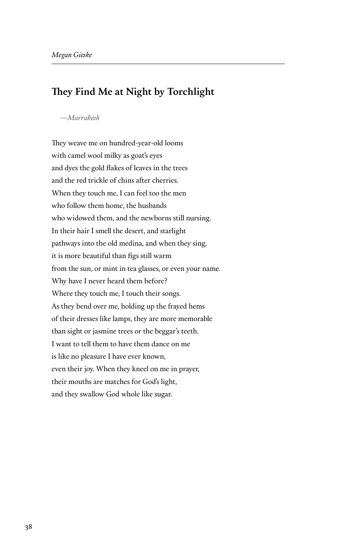#### **They Find Me at Night by Torchlight**

#### *—Marrakesh*

They weave me on hundred-year-old looms with camel wool milky as goat's eyes and dyes the gold flakes of leaves in the trees and the red trickle of chins after cherries. When they touch me, I can feel too the men who follow them home, the husbands who widowed them, and the newborns still nursing. In their hair I smell the desert, and starlight pathways into the old medina, and when they sing, it is more beautiful than figs still warm from the sun, or mint in tea glasses, or even your name. Why have I never heard them before? Where they touch me, I touch their songs. As they bend over me, holding up the frayed hems of their dresses like lamps, they are more memorable than sight or jasmine trees or the beggar's teeth. I want to tell them to have them dance on me is like no pleasure I have ever known, even their joy. When they kneel on me in prayer, their mouths are matches for God's light, and they swallow God whole like sugar.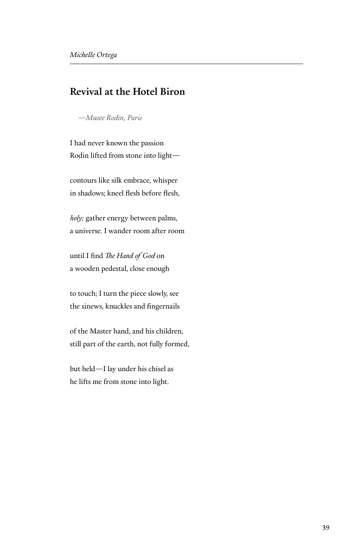#### **Revival at the Hotel Biron**

*—Musee Rodin, Paris*

I had never known the passion Rodin lifted from stone into light—

contours like silk embrace, whisper in shadows; kneel flesh before flesh,

*holy;* gather energy between palms, a universe. I wander room after room

until I find *The Hand of God* on a wooden pedestal, close enough

to touch; I turn the piece slowly, see the sinews, knuckles and fingernails

of the Master hand, and his children, still part of the earth, not fully formed,

but held—I lay under his chisel as he lifts me from stone into light.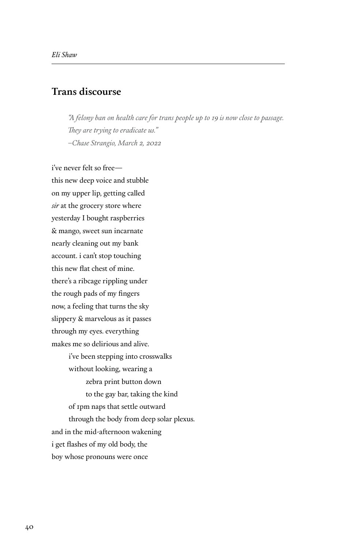#### **Trans discourse**

*"A felony ban on health care for trans people up to 19 is now close to passage. They are trying to eradicate us." –Chase Strangio, March 2, 2022*

i've never felt so free this new deep voice and stubble on my upper lip, getting called *sir* at the grocery store where yesterday I bought raspberries & mango, sweet sun incarnate nearly cleaning out my bank account. i can't stop touching this new flat chest of mine. there's a ribcage rippling under the rough pads of my fingers now, a feeling that turns the sky slippery & marvelous as it passes through my eyes. everything makes me so delirious and alive. i've been stepping into crosswalks without looking, wearing a zebra print button down to the gay bar, taking the kind of 1pm naps that settle outward through the body from deep solar plexus. and in the mid-afternoon wakening

i get flashes of my old body, the

boy whose pronouns were once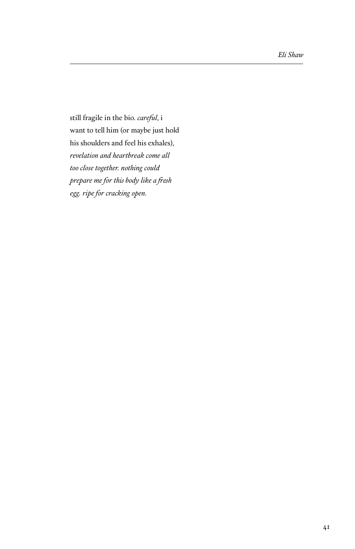still fragile in the bio. *careful*, i want to tell him (or maybe just hold his shoulders and feel his exhales), *revelation and heartbreak come all too close together. nothing could prepare me for this body like a fresh egg. ripe for cracking open.*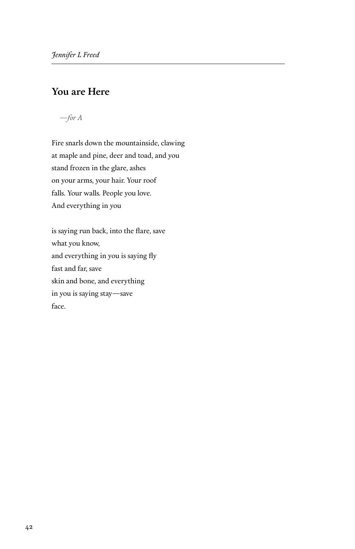## **You are Here**

*—for A*

Fire snarls down the mountainside, clawing at maple and pine, deer and toad, and you stand frozen in the glare, ashes on your arms, your hair. Your roof falls. Your walls. People you love. And everything in you

is saying run back, into the flare, save what you know, and everything in you is saying fly fast and far, save skin and bone, and everything in you is saying stay—save face.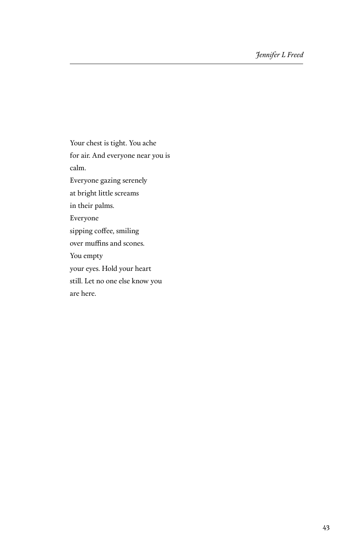Your chest is tight. You ache for air. And everyone near you is calm. Everyone gazing serenely at bright little screams in their palms. Everyone sipping coffee, smiling over muffins and scones. You empty your eyes. Hold your heart still. Let no one else know you are here.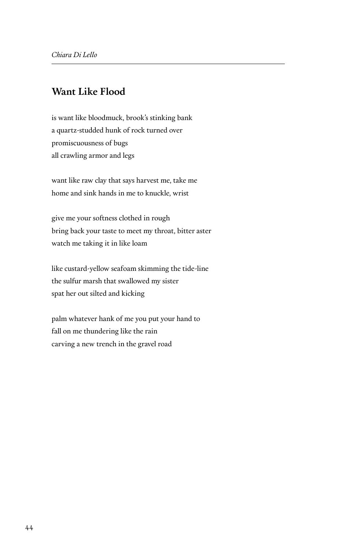#### **Want Like Flood**

is want like bloodmuck, brook's stinking bank a quartz-studded hunk of rock turned over promiscuousness of bugs all crawling armor and legs

want like raw clay that says harvest me, take me home and sink hands in me to knuckle, wrist

give me your softness clothed in rough bring back your taste to meet my throat, bitter aster watch me taking it in like loam

like custard-yellow seafoam skimming the tide-line the sulfur marsh that swallowed my sister spat her out silted and kicking

palm whatever hank of me you put your hand to fall on me thundering like the rain carving a new trench in the gravel road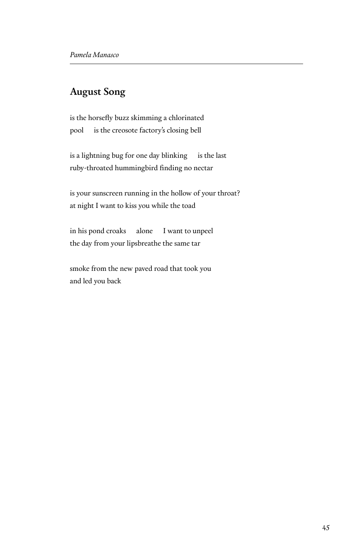#### **August Song**

is the horsefly buzz skimming a chlorinated pool is the creosote factory's closing bell

is a lightning bug for one day blinking is the last ruby-throated hummingbird finding no nectar

is your sunscreen running in the hollow of your throat? at night I want to kiss you while the toad

in his pond croaks alone I want to unpeel the day from your lipsbreathe the same tar

smoke from the new paved road that took you and led you back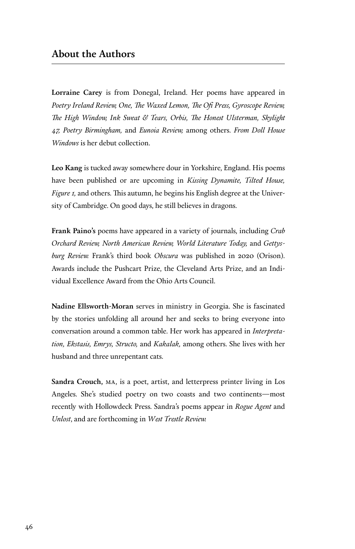#### **About the Authors**

**Lorraine Carey** is from Donegal, Ireland. Her poems have appeared in *Poetry Ireland Review, One, The Waxed Lemon, The Ofi Press, Gyroscope Review, The High Window, Ink Sweat & Tears, Orbis, The Honest Ulsterman, Skylight 47, Poetry Birmingham,* and *Eunoia Review,* among others. *From Doll House Windows* is her debut collection.

**Leo Kang** is tucked away somewhere dour in Yorkshire, England. His poems have been published or are upcoming in *Kissing Dynamite, Tilted House, Figure 1,* and others. This autumn, he begins his English degree at the University of Cambridge. On good days, he still believes in dragons.

**Frank Paino's** poems have appeared in a variety of journals, including *Crab Orchard Review, North American Review, World Literature Today,* and *Gettysburg Review.* Frank's third book *Obscura* was published in 2020 (Orison). Awards include the Pushcart Prize, the Cleveland Arts Prize, and an Individual Excellence Award from the Ohio Arts Council.

**Nadine Ellsworth-Moran** serves in ministry in Georgia. She is fascinated by the stories unfolding all around her and seeks to bring everyone into conversation around a common table. Her work has appeared in *Interpretation, Ekstasis, Emrys, Structo,* and *Kakalak,* among others. She lives with her husband and three unrepentant cats.

**Sandra Crouch,** ma, is a poet, artist, and letterpress printer living in Los Angeles. She's studied poetry on two coasts and two continents—most recently with Hollowdeck Press. Sandra's poems appear in *Rogue Agent* and *Unlost*, and are forthcoming in *West Trestle Review.*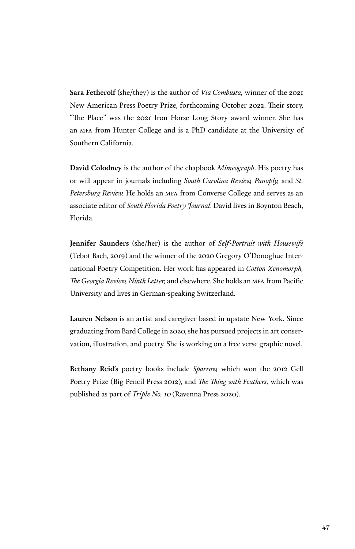**Sara Fetherolf** (she/they) is the author of *Via Combusta,* winner of the 2021 New American Press Poetry Prize, forthcoming October 2022. Their story, "The Place" was the 2021 Iron Horse Long Story award winner. She has an mfa from Hunter College and is a PhD candidate at the University of Southern California.

**David Colodney** is the author of the chapbook *Mimeograph*. His poetry has or will appear in journals including *South Carolina Review, Panoply,* and *St. Petersburg Review.* He holds an mfa from Converse College and serves as an associate editor of *South Florida Poetry Journal*. David lives in Boynton Beach, Florida.

**Jennifer Saunders** (she/her) is the author of *Self-Portrait with Housewife*  (Tebot Bach, 2019) and the winner of the 2020 Gregory O'Donoghue International Poetry Competition. Her work has appeared in *Cotton Xenomorph, The Georgia Review, Ninth Letter,* and elsewhere. She holds an mfa from Pacific University and lives in German-speaking Switzerland.

**Lauren Nelson** is an artist and caregiver based in upstate New York. Since graduating from Bard College in 2020, she has pursued projects in art conservation, illustration, and poetry. She is working on a free verse graphic novel.

**Bethany Reid's** poetry books include *Sparrow,* which won the 2012 Gell Poetry Prize (Big Pencil Press 2012), and *The Thing with Feathers,* which was published as part of *Triple No. 10* (Ravenna Press 2020).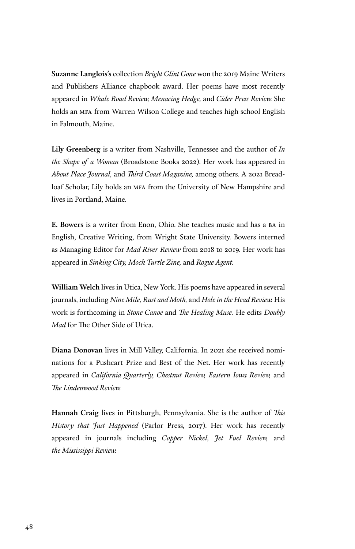**Suzanne Langlois's** collection *Bright Glint Gone* won the 2019 Maine Writers and Publishers Alliance chapbook award. Her poems have most recently appeared in *Whale Road Review, Menacing Hedge,* and *Cider Press Review.* She holds an mfa from Warren Wilson College and teaches high school English in Falmouth, Maine.

**Lily Greenberg** is a writer from Nashville, Tennessee and the author of *In the Shape of a Woman* (Broadstone Books 2022). Her work has appeared in *About Place Journal,* and *Third Coast Magazine,* among others. A 2021 Breadloaf Scholar, Lily holds an mfa from the University of New Hampshire and lives in Portland, Maine.

**E. Bowers** is a writer from Enon, Ohio. She teaches music and has a ba in English, Creative Writing, from Wright State University. Bowers interned as Managing Editor for *Mad River Review* from 2018 to 2019. Her work has appeared in *Sinking City, Mock Turtle Zine,* and *Rogue Agent.*

**William Welch** lives in Utica, New York. His poems have appeared in several journals, including *Nine Mile, Rust and Moth,* and *Hole in the Head Review.* His work is forthcoming in *Stone Canoe* and *The Healing Muse.* He edits *Doubly Mad* for The Other Side of Utica.

**Diana Donovan** lives in Mill Valley, California. In 2021 she received nominations for a Pushcart Prize and Best of the Net. Her work has recently appeared in *California Quarterly, Chestnut Review, Eastern Iowa Review,* and *The Lindenwood Review.*

**Hannah Craig** lives in Pittsburgh, Pennsylvania. She is the author of *This History that Just Happened* (Parlor Press, 2017). Her work has recently appeared in journals including *Copper Nickel, Jet Fuel Review,* and *the Mississippi Review.*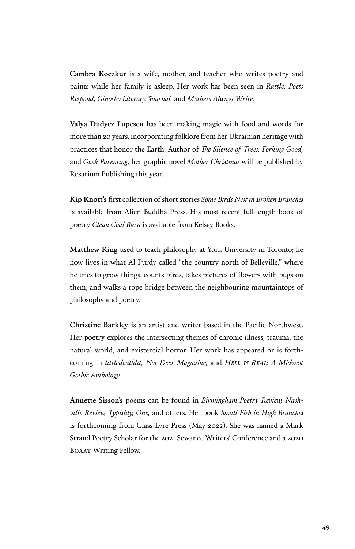**Cambra Koczkur** is a wife, mother, and teacher who writes poetry and paints while her family is asleep. Her work has been seen in *Rattle: Poets Respond, Ginosko Literary Journal,* and *Mothers Always Write.*

**Valya Dudycz Lupescu** has been making magic with food and words for more than 20 years, incorporating folklore from her Ukrainian heritage with practices that honor the Earth. Author of *The Silence of Trees, Forking Good,* and *Geek Parenting,* her graphic novel *Mother Christmas* will be published by Rosarium Publishing this year.

**Kip Knott's** first collection of short stories *Some Birds Nest in Broken Branches* is available from Alien Buddha Press. His most recent full-length book of poetry *Clean Coal Burn* is available from Kelsay Books.

**Matthew King** used to teach philosophy at York University in Toronto; he now lives in what Al Purdy called "the country north of Belleville," where he tries to grow things, counts birds, takes pictures of flowers with bugs on them, and walks a rope bridge between the neighbouring mountaintops of philosophy and poetry.

**Christine Barkley** is an artist and writer based in the Pacific Northwest. Her poetry explores the intersecting themes of chronic illness, trauma, the natural world, and existential horror. Her work has appeared or is forthcoming in *littledeathlit, Not Deer Magazine,* and *Hell is Real: A Midwest Gothic Anthology.*

**Annette Sisson's** poems can be found in *Birmingham Poetry Review, Nashville Review, Typishly, One,* and others. Her book *Small Fish in High Branches*  is forthcoming from Glass Lyre Press (May 2022). She was named a Mark Strand Poetry Scholar for the 2021 Sewanee Writers' Conference and a 2020 Boaat Writing Fellow.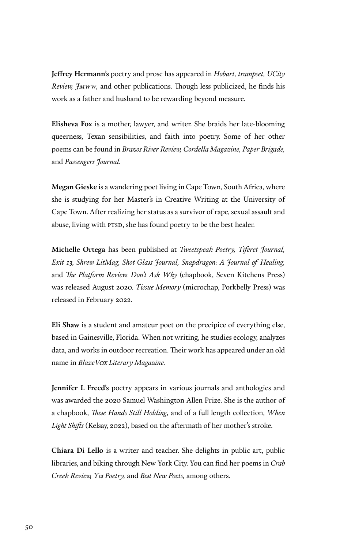**Jeffrey Hermann's** poetry and prose has appeared in *Hobart, trampset, UCity Review, Jmww,* and other publications. Though less publicized, he finds his work as a father and husband to be rewarding beyond measure.

**Elisheva Fox** is a mother, lawyer, and writer. She braids her late-blooming queerness, Texan sensibilities, and faith into poetry. Some of her other poems can be found in *Brazos River Review, Cordella Magazine, Paper Brigade,* and *Passengers Journal.*

**Megan Gieske** is a wandering poet living in Cape Town, South Africa, where she is studying for her Master's in Creative Writing at the University of Cape Town. After realizing her status as a survivor of rape, sexual assault and abuse, living with PTSD, she has found poetry to be the best healer.

**Michelle Ortega** has been published at *Tweetspeak Poetry, Tiferet Journal, Exit 13, Shrew LitMag, Shot Glass Journal, Snapdragon: A Journal of Healing,*  and *The Platform Review. Don't Ask Why* (chapbook, Seven Kitchens Press) was released August 2020. *Tissue Memory* (microchap, Porkbelly Press) was released in February 2022.

**Eli Shaw** is a student and amateur poet on the precipice of everything else, based in Gainesville, Florida. When not writing, he studies ecology, analyzes data, and works in outdoor recreation. Their work has appeared under an old name in *BlazeVox Literary Magazine.*

**Jennifer L Freed's** poetry appears in various journals and anthologies and was awarded the 2020 Samuel Washington Allen Prize. She is the author of a chapbook, *These Hands Still Holding,* and of a full length collection, *When Light Shifts* (Kelsay, 2022), based on the aftermath of her mother's stroke.

**Chiara Di Lello** is a writer and teacher. She delights in public art, public libraries, and biking through New York City. You can find her poems in *Crab Creek Review, Yes Poetry,* and *Best New Poets,* among others.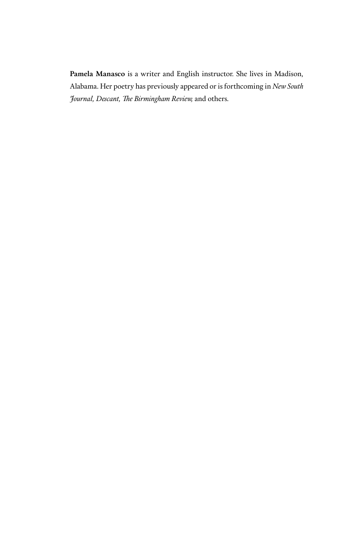**Pamela Manasco** is a writer and English instructor. She lives in Madison, Alabama. Her poetry has previously appeared or is forthcoming in *New South Journal, Descant, The Birmingham Review,* and others.